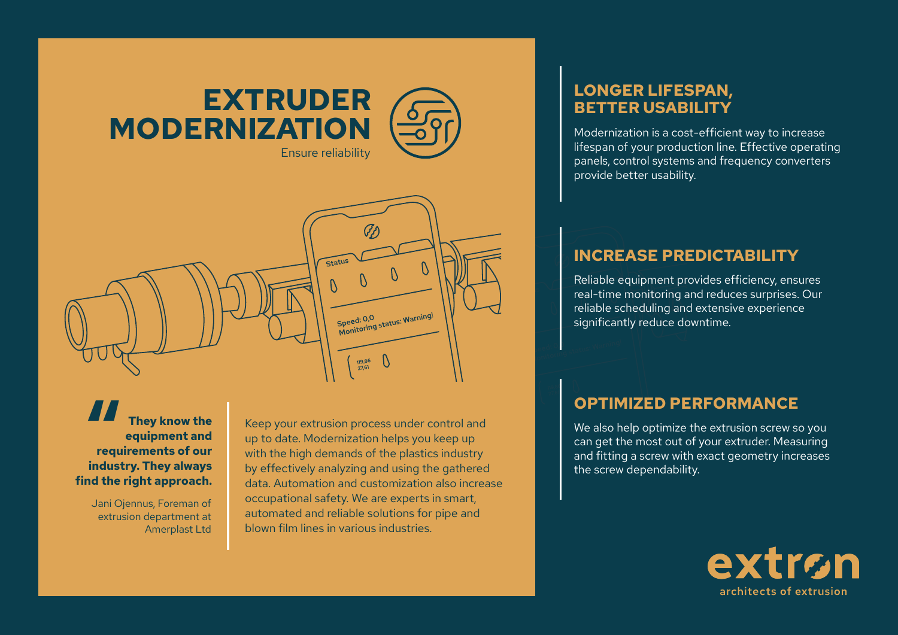



**They know the equipment and**  They know the<br>
equipment and<br>
requirements of our<br>
inductry They always **industry. They always find the right approach.** 

> Jani Ojennus, Foreman of extrusion department at Amerplast Ltd

Keep your extrusion process under control and up to date. Modernization helps you keep up with the high demands of the plastics industry by effectively analyzing and using the gathered data. Automation and customization also increase occupational safety. We are experts in smart, automated and reliable solutions for pipe and blown film lines in various industries.

## **LONGER LIFESPAN, BETTER USABILITY**

Modernization is a cost-efficient way to increase lifespan of your production line. Effective operating panels, control systems and frequency converters provide better usability.

## **INCREASE PREDICTABILITY**

Reliable equipment provides efficiency, ensures real-time monitoring and reduces surprises. Our reliable scheduling and extensive experience significantly reduce downtime.

## **OPTIMIZED PERFORMANCE**

We also help optimize the extrusion screw so you can get the most out of your extruder. Measuring and fitting a screw with exact geometry increases the screw dependability.